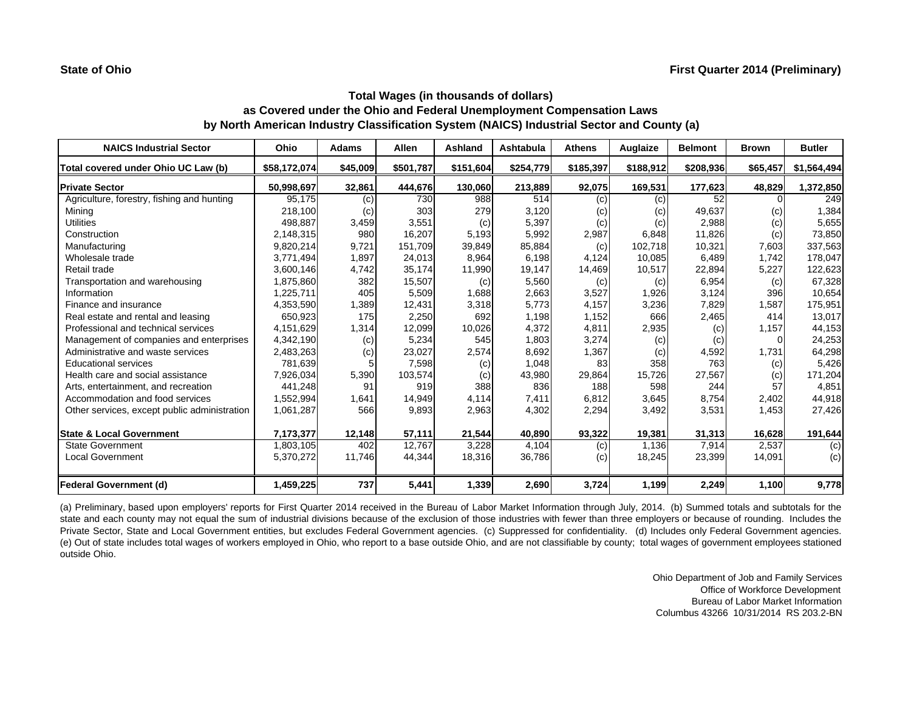| <b>NAICS Industrial Sector</b>               | Ohio         | <b>Adams</b> | Allen     | Ashland   | Ashtabula | <b>Athens</b> | Auglaize  | <b>Belmont</b> | <b>Brown</b> | <b>Butler</b> |
|----------------------------------------------|--------------|--------------|-----------|-----------|-----------|---------------|-----------|----------------|--------------|---------------|
| Total covered under Ohio UC Law (b)          | \$58,172,074 | \$45,009     | \$501,787 | \$151,604 | \$254,779 | \$185,397     | \$188,912 | \$208,936      | \$65,457     | \$1,564,494   |
| <b>Private Sector</b>                        | 50,998,697   | 32,861       | 444,676   | 130,060   | 213,889   | 92,075        | 169,531   | 177,623        | 48,829       | 1,372,850     |
| Agriculture, forestry, fishing and hunting   | 95,175       | (c)          | 730       | 988       | 514       | (c)           | (c)       | 52             |              | 249           |
| Mining                                       | 218,100      | (c)          | 303       | 279       | 3,120     | (c)           | (c)       | 49,637         | (c)          | 1,384         |
| <b>Utilities</b>                             | 498,887      | 3,459        | 3,551     | (c)       | 5,397     | (c)           | (c)       | 2,988          | (c)          | 5,655         |
| Construction                                 | 2,148,315    | 980          | 16,207    | 5,193     | 5,992     | 2,987         | 6,848     | 11,826         | (c)          | 73,850        |
| Manufacturing                                | 9,820,214    | 9,721        | 151,709   | 39,849    | 85,884    | (c)           | 102,718   | 10,321         | 7,603        | 337,563       |
| Wholesale trade                              | 3,771,494    | 1,897        | 24,013    | 8,964     | 6.198     | 4,124         | 10,085    | 6,489          | 1,742        | 178,047       |
| Retail trade                                 | 3,600,146    | 4,742        | 35,174    | 11,990    | 19,147    | 14,469        | 10,517    | 22,894         | 5,227        | 122,623       |
| Transportation and warehousing               | 1,875,860    | 382          | 15,507    | (c)       | 5,560     | (c)           | (c)       | 6,954          | (c)          | 67,328        |
| Information                                  | 1,225,711    | 405          | 5,509     | 1,688     | 2,663     | 3,527         | 1,926     | 3,124          | 396          | 10,654        |
| Finance and insurance                        | 4,353,590    | 1,389        | 12,431    | 3,318     | 5,773     | 4,157         | 3,236     | 7,829          | 1,587        | 175,951       |
| Real estate and rental and leasing           | 650,923      | 175          | 2,250     | 692       | 1,198     | 1,152         | 666       | 2,465          | 414          | 13,017        |
| Professional and technical services          | 4,151,629    | 1,314        | 12,099    | 10,026    | 4,372     | 4,811         | 2,935     | (c)            | 1,157        | 44,153        |
| Management of companies and enterprises      | 4,342,190    | (c)          | 5,234     | 545       | 1,803     | 3,274         | (c)       | (c)            | $\Omega$     | 24,253        |
| Administrative and waste services            | 2,483,263    | (c)          | 23,027    | 2,574     | 8,692     | 1,367         | (c)       | 4,592          | 1,731        | 64,298        |
| <b>Educational services</b>                  | 781,639      |              | 7,598     | (c)       | 1,048     | 83            | 358       | 763            | (c)          | 5,426         |
| Health care and social assistance            | 7,926,034    | 5,390        | 103,574   | (c)       | 43,980    | 29,864        | 15,726    | 27,567         | (c)          | 171,204       |
| Arts, entertainment, and recreation          | 441,248      | 91           | 919       | 388       | 836       | 188           | 598       | 244            | 57           | 4,851         |
| Accommodation and food services              | 1,552,994    | 1,641        | 14,949    | 4,114     | 7,411     | 6,812         | 3,645     | 8,754          | 2,402        | 44,918        |
| Other services, except public administration | 1,061,287    | 566          | 9,893     | 2,963     | 4,302     | 2,294         | 3,492     | 3,531          | 1,453        | 27,426        |
| <b>State &amp; Local Government</b>          | 7,173,377    | 12,148       | 57,111    | 21,544    | 40,890    | 93,322        | 19,381    | 31,313         | 16,628       | 191,644       |
| <b>State Government</b>                      | 1,803,105    | 402          | 12.767    | 3,228     | 4,104     | (c)           | 1,136     | 7,914          | 2,537        | (c)           |
| <b>Local Government</b>                      | 5,370,272    | 11,746       | 44,344    | 18,316    | 36,786    | (c)           | 18,245    | 23,399         | 14,091       | (c)           |
| <b>Federal Government (d)</b>                | 1,459,225    | 737          | 5,441     | 1,339     | 2,690     | 3,724         | 1,199     | 2,249          | 1,100        | 9,778         |

(a) Preliminary, based upon employers' reports for First Quarter 2014 received in the Bureau of Labor Market Information through July, 2014. (b) Summed totals and subtotals for the state and each county may not equal the sum of industrial divisions because of the exclusion of those industries with fewer than three employers or because of rounding. Includes the Private Sector, State and Local Government entities, but excludes Federal Government agencies. (c) Suppressed for confidentiality. (d) Includes only Federal Government agencies. (e) Out of state includes total wages of workers employed in Ohio, who report to <sup>a</sup> base outside Ohio, and are not classifiable by county; total wages of government employees stationed outside Ohio.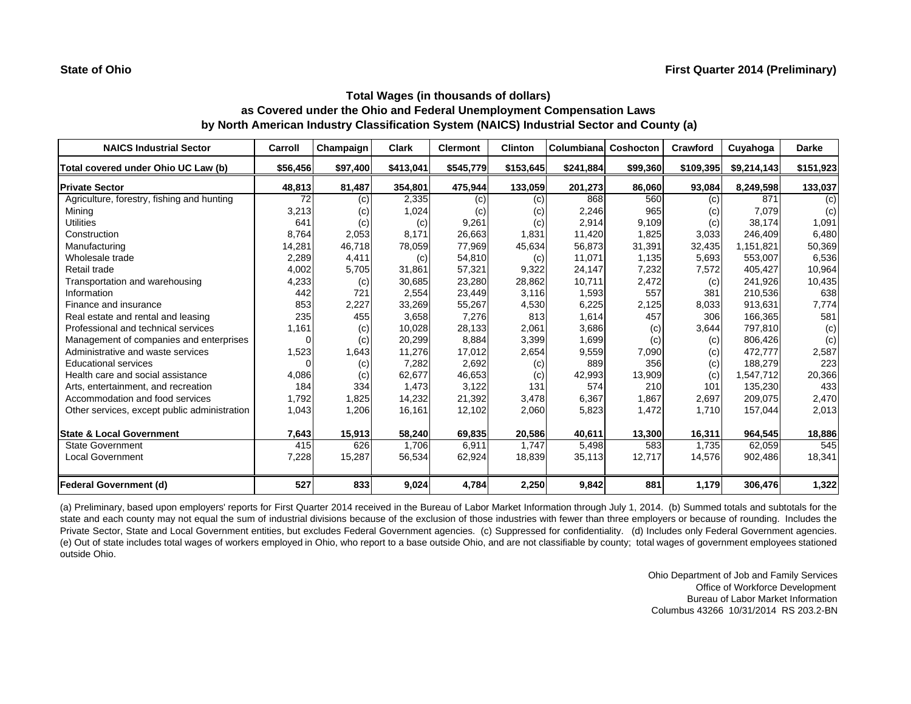| <b>NAICS Industrial Sector</b>               | Carroll  | Champaign | Clark     | <b>Clermont</b> | <b>Clinton</b> | Columbiana | <b>Coshocton</b> | <b>Crawford</b> | Cuyahoga    | <b>Darke</b> |
|----------------------------------------------|----------|-----------|-----------|-----------------|----------------|------------|------------------|-----------------|-------------|--------------|
| Total covered under Ohio UC Law (b)          | \$56,456 | \$97,400  | \$413,041 | \$545,779       | \$153,645      | \$241,884  | \$99,360         | \$109,395       | \$9,214,143 | \$151,923    |
| <b>Private Sector</b>                        | 48,813   | 81,487    | 354,801   | 475,944         | 133,059        | 201,273    | 86,060           | 93,084          | 8,249,598   | 133,037      |
| Agriculture, forestry, fishing and hunting   | 72       | (c)       | 2,335     | (c)             | (c)            | 868        | 560              | (c)             | 871         | (c)          |
| Mining                                       | 3,213    | (c)       | 1,024     | (c)             | (c)            | 2,246      | 965              | (c)             | 7,079       | (c)          |
| <b>Utilities</b>                             | 641      | (c)       | (c)       | 9,261           | (c)            | 2,914      | 9,109            | (c)             | 38.174      | 1,091        |
| Construction                                 | 8,764    | 2,053     | 8,171     | 26,663          | 1,831          | 11,420     | 1,825            | 3,033           | 246.409     | 6,480        |
| Manufacturing                                | 14,281   | 46,718    | 78,059    | 77,969          | 45,634         | 56,873     | 31,391           | 32,435          | 1,151,821   | 50,369       |
| Wholesale trade                              | 2,289    | 4,411     | (c)       | 54,810          | (c)            | 11,071     | 1,135            | 5,693           | 553,007     | 6,536        |
| Retail trade                                 | 4,002    | 5,705     | 31,861    | 57,321          | 9,322          | 24,147     | 7,232            | 7,572           | 405,427     | 10,964       |
| Transportation and warehousing               | 4,233    | (c)       | 30,685    | 23,280          | 28,862         | 10,711     | 2,472            | (c)             | 241,926     | 10,435       |
| Information                                  | 442      | 721       | 2,554     | 23,449          | 3,116          | 1,593      | 557              | 381             | 210,536     | 638          |
| Finance and insurance                        | 853      | 2,227     | 33,269    | 55,267          | 4,530          | 6,225      | 2,125            | 8,033           | 913,631     | 7,774        |
| Real estate and rental and leasing           | 235      | 455       | 3,658     | 7,276           | 813            | 1,614      | 457              | 306             | 166,365     | 581          |
| Professional and technical services          | 1,161    | (c)       | 10,028    | 28,133          | 2,061          | 3,686      | (c)              | 3,644           | 797,810     | (c)          |
| Management of companies and enterprises      |          | (c)       | 20,299    | 8,884           | 3,399          | 1,699      | (c)              | (c)             | 806,426     | (c)          |
| Administrative and waste services            | 1,523    | 1,643     | 11,276    | 17,012          | 2,654          | 9,559      | 7,090            | (c)             | 472,777     | 2,587        |
| <b>Educational services</b>                  |          | (c)       | 7,282     | 2,692           | (c)            | 889        | 356              | (c)             | 188,279     | 223          |
| Health care and social assistance            | 4,086    | (c)       | 62,677    | 46,653          | (c)            | 42,993     | 13,909           | (c)             | 1,547,712   | 20,366       |
| Arts, entertainment, and recreation          | 184      | 334       | 1,473     | 3,122           | 131            | 574        | 210              | 101             | 135,230     | 433          |
| Accommodation and food services              | 1,792    | 1,825     | 14,232    | 21,392          | 3,478          | 6,367      | 1,867            | 2,697           | 209,075     | 2,470        |
| Other services, except public administration | 1,043    | 1,206     | 16,161    | 12,102          | 2,060          | 5,823      | 1,472            | 1,710           | 157,044     | 2,013        |
| <b>State &amp; Local Government</b>          | 7,643    | 15,913    | 58,240    | 69,835          | 20,586         | 40,611     | 13,300           | 16,311          | 964,545     | 18,886       |
| <b>State Government</b>                      | 415      | 626       | 1,706     | 6,911           | 1.747          | 5,498      | 583              | 1,735           | 62,059      | 545          |
| <b>Local Government</b>                      | 7,228    | 15,287    | 56,534    | 62,924          | 18,839         | 35,113     | 12,717           | 14,576          | 902,486     | 18,341       |
| <b>Federal Government (d)</b>                | 527      | 833       | 9,024     | 4,784           | 2,250          | 9,842      | 881              | 1,179           | 306,476     | 1,322        |

(a) Preliminary, based upon employers' reports for First Quarter 2014 received in the Bureau of Labor Market Information through July 1, 2014. (b) Summed totals and subtotals for the state and each county may not equal the sum of industrial divisions because of the exclusion of those industries with fewer than three employers or because of rounding. Includes the Private Sector, State and Local Government entities, but excludes Federal Government agencies. (c) Suppressed for confidentiality. (d) Includes only Federal Government agencies. (e) Out of state includes total wages of workers employed in Ohio, who report to <sup>a</sup> base outside Ohio, and are not classifiable by county; total wages of government employees stationed outside Ohio.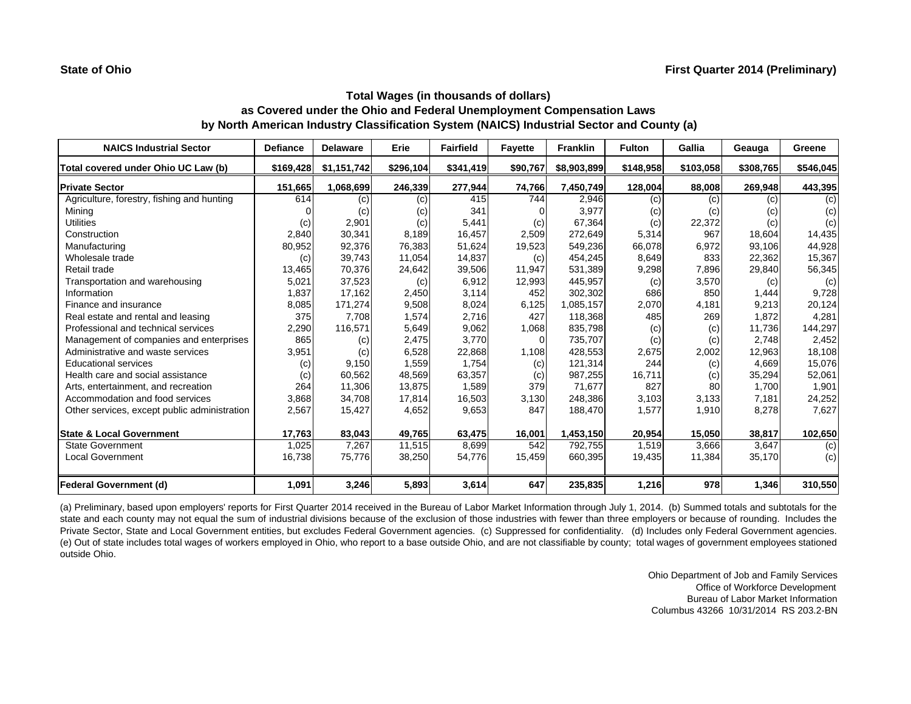| <b>NAICS Industrial Sector</b>               | <b>Defiance</b> | <b>Delaware</b> | Erie      | <b>Fairfield</b> | <b>Fayette</b> | <b>Franklin</b> | <b>Fulton</b> | Gallia    | Geauga    | Greene    |
|----------------------------------------------|-----------------|-----------------|-----------|------------------|----------------|-----------------|---------------|-----------|-----------|-----------|
| Total covered under Ohio UC Law (b)          | \$169,428       | \$1,151,742     | \$296,104 | \$341,419        | \$90,767       | \$8,903,899     | \$148,958     | \$103,058 | \$308,765 | \$546,045 |
| <b>Private Sector</b>                        | 151,665         | 1,068,699       | 246,339   | 277,944          | 74,766         | 7,450,749       | 128,004       | 88,008    | 269,948   | 443,395   |
| Agriculture, forestry, fishing and hunting   | 614             | (c)             | (c)       | 415              | 744            | 2,946           | (c)           | (c)       | (c)       | (c)       |
| Mining                                       |                 | (c)             | (c)       | 341              | n              | 3,977           | (c)           | (c)       | (c)       | (c)       |
| <b>Utilities</b>                             | (c)             | 2,901           | (c)       | 5,441            | (c)            | 67,364          | (c)           | 22,372    | (c)       | (c)       |
| Construction                                 | 2,840           | 30,341          | 8,189     | 16,457           | 2,509          | 272,649         | 5,314         | 967       | 18,604    | 14,435    |
| Manufacturing                                | 80,952          | 92,376          | 76,383    | 51,624           | 19,523         | 549,236         | 66,078        | 6,972     | 93,106    | 44,928    |
| Wholesale trade                              | (c)             | 39,743          | 11,054    | 14,837           | (c)            | 454,245         | 8,649         | 833       | 22,362    | 15,367    |
| Retail trade                                 | 13,465          | 70,376          | 24,642    | 39,506           | 11,947         | 531,389         | 9,298         | 7,896     | 29,840    | 56,345    |
| Transportation and warehousing               | 5,021           | 37,523          | (c)       | 6,912            | 12,993         | 445,957         | (c)           | 3,570     | (c)       | (c)       |
| Information                                  | 1,837           | 17,162          | 2,450     | 3,114            | 452            | 302,302         | 686           | 850       | 1,444     | 9,728     |
| Finance and insurance                        | 8,085           | 171,274         | 9,508     | 8,024            | 6,125          | 1,085,157       | 2,070         | 4,181     | 9,213     | 20,124    |
| Real estate and rental and leasing           | 375             | 7,708           | 1,574     | 2,716            | 427            | 118,368         | 485           | 269       | 1,872     | 4,281     |
| Professional and technical services          | 2,290           | 116.571         | 5,649     | 9,062            | 1,068          | 835,798         | (c)           | (c)       | 11.736    | 144,297   |
| Management of companies and enterprises      | 865             | (c)             | 2,475     | 3,770            | $\Omega$       | 735,707         | (c)           | (c)       | 2.748     | 2,452     |
| Administrative and waste services            | 3,951           | (c)             | 6,528     | 22,868           | 1,108          | 428,553         | 2,675         | 2,002     | 12,963    | 18,108    |
| <b>Educational services</b>                  | (c)             | 9,150           | 1,559     | 1,754            | (c)            | 121,314         | 244           | (c)       | 4,669     | 15,076    |
| Health care and social assistance            | (c)             | 60,562          | 48,569    | 63,357           | (c)            | 987,255         | 16,711        | (c)       | 35,294    | 52,061    |
| Arts, entertainment, and recreation          | 264             | 11,306          | 13,875    | 1,589            | 379            | 71,677          | 827           | 80        | 1.700     | 1,901     |
| Accommodation and food services              | 3,868           | 34,708          | 17,814    | 16,503           | 3,130          | 248,386         | 3,103         | 3,133     | 7,181     | 24,252    |
| Other services, except public administration | 2,567           | 15,427          | 4,652     | 9,653            | 847            | 188,470         | 1,577         | 1,910     | 8,278     | 7,627     |
| <b>State &amp; Local Government</b>          | 17,763          | 83,043          | 49,765    | 63,475           | 16,001         | 1,453,150       | 20,954        | 15,050    | 38,817    | 102,650   |
| <b>State Government</b>                      | 1,025           | 7,267           | 11,515    | 8,699            | 542            | 792,755         | 1,519         | 3.666     | 3,647     | (c)       |
| <b>Local Government</b>                      | 16,738          | 75,776          | 38,250    | 54,776           | 15,459         | 660,395         | 19,435        | 11,384    | 35,170    | (c)       |
| <b>Federal Government (d)</b>                | 1,091           | 3,246           | 5,893     | 3,614            | 647            | 235,835         | 1,216         | 978       | 1,346     | 310,550   |

(a) Preliminary, based upon employers' reports for First Quarter 2014 received in the Bureau of Labor Market Information through July 1, 2014. (b) Summed totals and subtotals for the state and each county may not equal the sum of industrial divisions because of the exclusion of those industries with fewer than three employers or because of rounding. Includes the Private Sector, State and Local Government entities, but excludes Federal Government agencies. (c) Suppressed for confidentiality. (d) Includes only Federal Government agencies. (e) Out of state includes total wages of workers employed in Ohio, who report to <sup>a</sup> base outside Ohio, and are not classifiable by county; total wages of government employees stationed outside Ohio.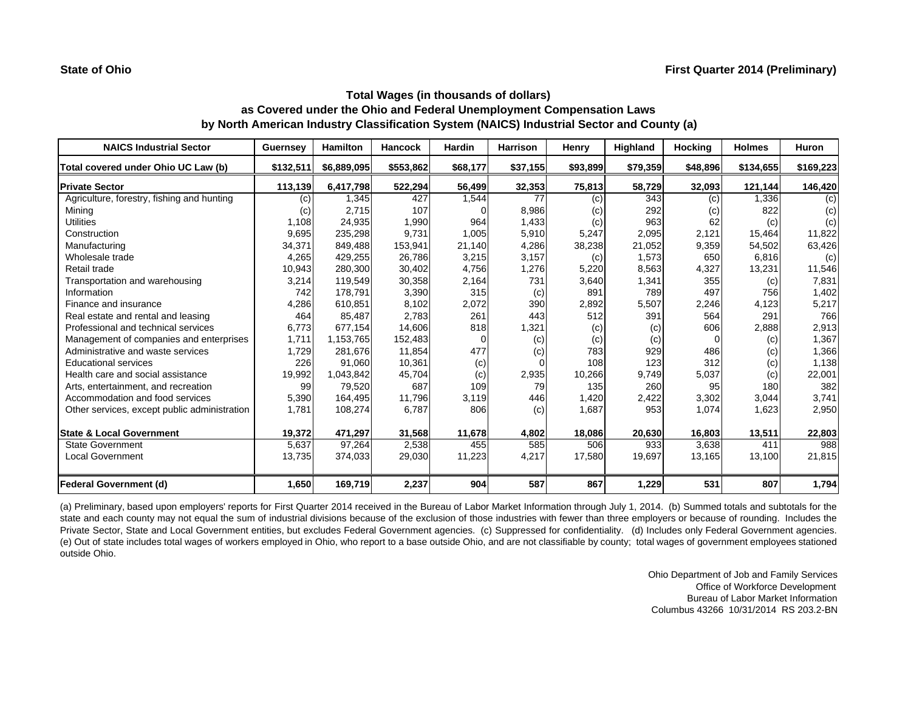| <b>NAICS Industrial Sector</b>               | <b>Guernsey</b> | <b>Hamilton</b> | <b>Hancock</b> | Hardin   | <b>Harrison</b> | Henry    | Highland | <b>Hocking</b> | <b>Holmes</b> | Huron     |
|----------------------------------------------|-----------------|-----------------|----------------|----------|-----------------|----------|----------|----------------|---------------|-----------|
| Total covered under Ohio UC Law (b)          | \$132,511       | \$6,889,095     | \$553,862      | \$68,177 | \$37,155        | \$93,899 | \$79,359 | \$48,896       | \$134,655     | \$169,223 |
| <b>Private Sector</b>                        | 113,139         | 6,417,798       | 522,294        | 56,499   | 32,353          | 75,813   | 58,729   | 32,093         | 121,144       | 146,420   |
| Agriculture, forestry, fishing and hunting   | (c)             | 1,345           | 427            | 1,544    | 77              | (c)      | 343      | (c)            | 1,336         | (c)       |
| Mining                                       | (c)             | 2,715           | 107            |          | 8,986           | (c)      | 292      | (c)            | 822           | (c)       |
| <b>Utilities</b>                             | 1,108           | 24,935          | 1,990          | 964      | 1,433           | (c)      | 963      | 62             | (c)           | (c)       |
| Construction                                 | 9,695           | 235,298         | 9,731          | 1,005    | 5,910           | 5,247    | 2,095    | 2,121          | 15,464        | 11,822    |
| Manufacturing                                | 34,371          | 849,488         | 153,941        | 21,140   | 4,286           | 38,238   | 21,052   | 9,359          | 54,502        | 63,426    |
| Wholesale trade                              | 4,265           | 429,255         | 26,786         | 3,215    | 3,157           | (c)      | 1,573    | 650            | 6,816         | (c)       |
| Retail trade                                 | 10,943          | 280,300         | 30,402         | 4,756    | 1,276           | 5,220    | 8,563    | 4,327          | 13,231        | 11,546    |
| Transportation and warehousing               | 3,214           | 119,549         | 30,358         | 2,164    | 731             | 3,640    | 1,341    | 355            | (c)           | 7,831     |
| Information                                  | 742             | 178,791         | 3,390          | 315      | (c)             | 891      | 789      | 497            | 756           | 1,402     |
| Finance and insurance                        | 4,286           | 610.851         | 8,102          | 2,072    | 390             | 2,892    | 5,507    | 2,246          | 4,123         | 5,217     |
| Real estate and rental and leasing           | 464             | 85.487          | 2,783          | 261      | 443             | 512      | 391      | 564            | 291           | 766       |
| Professional and technical services          | 6,773           | 677,154         | 14,606         | 818      | 1,321           | (c)      | (c)      | 606            | 2,888         | 2,913     |
| Management of companies and enterprises      | 1,711           | 1,153,765       | 152,483        |          | (c)             | (c)      | (c)      | 0              | (c)           | 1,367     |
| Administrative and waste services            | 1,729           | 281,676         | 11,854         | 477      | (c)             | 783      | 929      | 486            | (c)           | 1,366     |
| <b>Educational services</b>                  | 226             | 91.060          | 10,361         | (c)      | $\Omega$        | 108      | 123      | 312            | (c)           | 1,138     |
| Health care and social assistance            | 19,992          | 1,043,842       | 45,704         | (c)      | 2,935           | 10,266   | 9,749    | 5,037          | (c)           | 22,001    |
| Arts, entertainment, and recreation          | 99              | 79,520          | 687            | 109      | 79              | 135      | 260      | 95             | 180           | 382       |
| Accommodation and food services              | 5,390           | 164,495         | 11,796         | 3,119    | 446             | 1,420    | 2,422    | 3,302          | 3,044         | 3,741     |
| Other services, except public administration | 1,781           | 108,274         | 6,787          | 806      | (c)             | 1,687    | 953      | 1,074          | 1,623         | 2,950     |
| <b>State &amp; Local Government</b>          | 19,372          | 471,297         | 31,568         | 11,678   | 4,802           | 18,086   | 20,630   | 16,803         | 13,511        | 22,803    |
| <b>State Government</b>                      | 5,637           | 97,264          | 2,538          | 455      | 585             | 506      | 933      | 3,638          | 411           | 988       |
| <b>Local Government</b>                      | 13,735          | 374,033         | 29,030         | 11,223   | 4,217           | 17,580   | 19,697   | 13,165         | 13,100        | 21,815    |
| Federal Government (d)                       | 1,650           | 169,719         | 2,237          | 904      | 587             | 867      | 1,229    | 531            | 807           | 1,794     |

(a) Preliminary, based upon employers' reports for First Quarter 2014 received in the Bureau of Labor Market Information through July 1, 2014. (b) Summed totals and subtotals for the state and each county may not equal the sum of industrial divisions because of the exclusion of those industries with fewer than three employers or because of rounding. Includes the Private Sector, State and Local Government entities, but excludes Federal Government agencies. (c) Suppressed for confidentiality. (d) Includes only Federal Government agencies. (e) Out of state includes total wages of workers employed in Ohio, who report to <sup>a</sup> base outside Ohio, and are not classifiable by county; total wages of government employees stationed outside Ohio.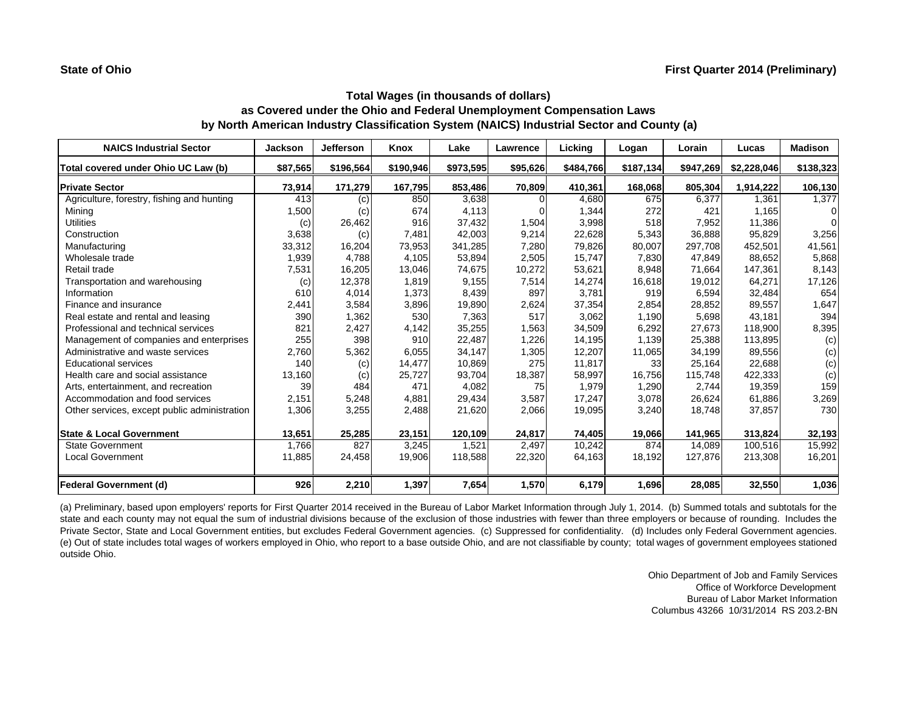| <b>NAICS Industrial Sector</b>               | <b>Jackson</b> | <b>Jefferson</b> | Knox      | Lake      | Lawrence | Licking   | Logan     | Lorain    | Lucas       | <b>Madison</b> |
|----------------------------------------------|----------------|------------------|-----------|-----------|----------|-----------|-----------|-----------|-------------|----------------|
| Total covered under Ohio UC Law (b)          | \$87,565       | \$196,564        | \$190,946 | \$973,595 | \$95,626 | \$484,766 | \$187,134 | \$947,269 | \$2,228,046 | \$138,323      |
| <b>Private Sector</b>                        | 73,914         | 171,279          | 167,795   | 853,486   | 70,809   | 410,361   | 168,068   | 805,304   | 1,914,222   | 106,130        |
| Agriculture, forestry, fishing and hunting   | 413            | (c)              | 850       | 3,638     | $\Omega$ | 4,680     | 675       | 6,377     | 1,361       | 1,377          |
| Mining                                       | 1,500          | (c)              | 674       | 4,113     |          | 1,344     | 272       | 421       | 1,165       | $\Omega$       |
| <b>Utilities</b>                             | (c)            | 26,462           | 916       | 37,432    | 1,504    | 3,998     | 518       | 7,952     | 11,386      | $\Omega$       |
| Construction                                 | 3,638          | (c)              | 7,481     | 42,003    | 9,214    | 22,628    | 5,343     | 36,888    | 95.829      | 3,256          |
| Manufacturing                                | 33,312         | 16,204           | 73,953    | 341,285   | 7,280    | 79,826    | 80,007    | 297.708   | 452,501     | 41,561         |
| Wholesale trade                              | 1,939          | 4,788            | 4,105     | 53,894    | 2,505    | 15,747    | 7,830     | 47,849    | 88,652      | 5,868          |
| Retail trade                                 | 7,531          | 16,205           | 13,046    | 74,675    | 10,272   | 53,621    | 8,948     | 71,664    | 147,361     | 8,143          |
| Transportation and warehousing               | (c)            | 12,378           | 1,819     | 9,155     | 7,514    | 14,274    | 16,618    | 19,012    | 64,271      | 17,126         |
| Information                                  | 610            | 4,014            | 1,373     | 8,439     | 897      | 3,781     | 919       | 6.594     | 32.484      | 654            |
| Finance and insurance                        | 2,441          | 3,584            | 3,896     | 19,890    | 2,624    | 37,354    | 2,854     | 28,852    | 89,557      | 1,647          |
| Real estate and rental and leasing           | 390            | 1,362            | 530       | 7,363     | 517      | 3,062     | 1,190     | 5,698     | 43,181      | 394            |
| Professional and technical services          | 821            | 2,427            | 4,142     | 35,255    | 1,563    | 34,509    | 6,292     | 27,673    | 118,900     | 8,395          |
| Management of companies and enterprises      | 255            | 398              | 910       | 22,487    | 1,226    | 14,195    | 1,139     | 25,388    | 113,895     | (c)            |
| Administrative and waste services            | 2,760          | 5,362            | 6,055     | 34,147    | 1,305    | 12,207    | 11,065    | 34,199    | 89,556      | (c)            |
| <b>Educational services</b>                  | 140            | (c)              | 14,477    | 10,869    | 275      | 11,817    | 33        | 25,164    | 22,688      | (c)            |
| Health care and social assistance            | 13,160         | (c)              | 25,727    | 93,704    | 18,387   | 58,997    | 16.756    | 115,748   | 422,333     | (c)            |
| Arts, entertainment, and recreation          | 39             | 484              | 471       | 4,082     | 75       | 1,979     | 1,290     | 2.744     | 19,359      | 159            |
| Accommodation and food services              | 2,151          | 5,248            | 4,881     | 29,434    | 3,587    | 17,247    | 3,078     | 26,624    | 61,886      | 3,269          |
| Other services, except public administration | 1,306          | 3,255            | 2,488     | 21,620    | 2,066    | 19,095    | 3,240     | 18,748    | 37,857      | 730            |
| <b>State &amp; Local Government</b>          | 13,651         | 25,285           | 23,151    | 120,109   | 24,817   | 74,405    | 19,066    | 141,965   | 313,824     | 32,193         |
| <b>State Government</b>                      | 1.766          | 827              | 3,245     | 1,521     | 2,497    | 10,242    | 874       | 14.089    | 100,516     | 15,992         |
| <b>Local Government</b>                      | 11,885         | 24,458           | 19,906    | 118,588   | 22,320   | 64,163    | 18,192    | 127,876   | 213,308     | 16,201         |
| <b>Federal Government (d)</b>                | 926            | 2,210            | 1,397     | 7,654     | 1,570    | 6,179     | 1,696     | 28,085    | 32,550      | 1,036          |

(a) Preliminary, based upon employers' reports for First Quarter 2014 received in the Bureau of Labor Market Information through July 1, 2014. (b) Summed totals and subtotals for the state and each county may not equal the sum of industrial divisions because of the exclusion of those industries with fewer than three employers or because of rounding. Includes the Private Sector, State and Local Government entities, but excludes Federal Government agencies. (c) Suppressed for confidentiality. (d) Includes only Federal Government agencies. (e) Out of state includes total wages of workers employed in Ohio, who report to <sup>a</sup> base outside Ohio, and are not classifiable by county; total wages of government employees stationed outside Ohio.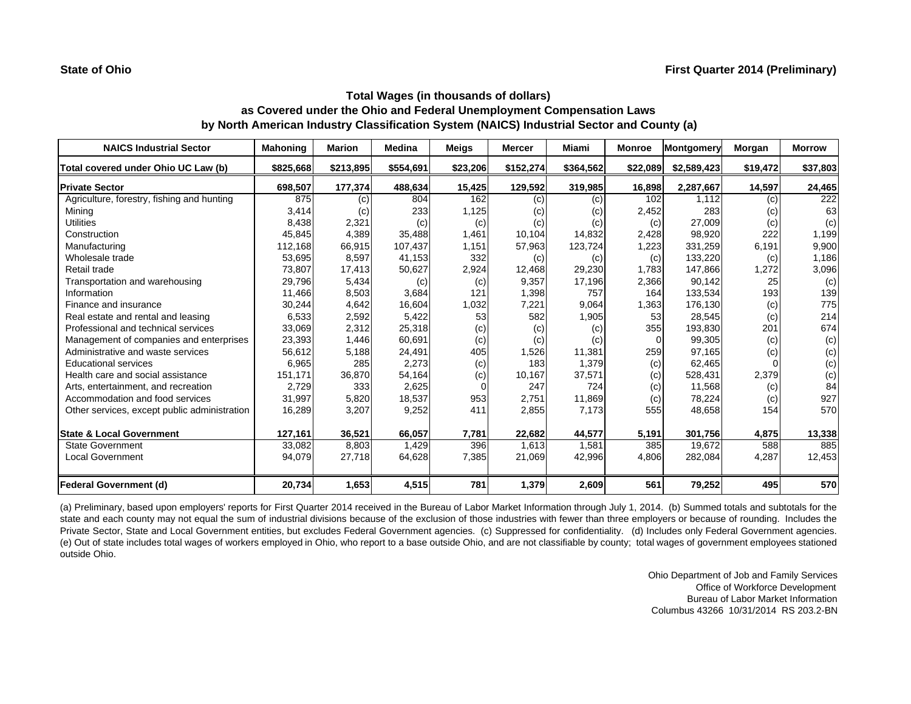| <b>NAICS Industrial Sector</b>               | <b>Mahoning</b> | <b>Marion</b> | <b>Medina</b> | <b>Meigs</b> | <b>Mercer</b> | Miami                      | <b>Monroe</b> | Montgomery  | Morgan   | <b>Morrow</b> |
|----------------------------------------------|-----------------|---------------|---------------|--------------|---------------|----------------------------|---------------|-------------|----------|---------------|
| Total covered under Ohio UC Law (b)          | \$825,668       | \$213,895     | \$554,691     | \$23,206     | \$152,274     | \$364,562                  | \$22,089      | \$2,589,423 | \$19,472 | \$37,803      |
| <b>Private Sector</b>                        | 698,507         | 177,374       | 488,634       | 15,425       | 129,592       | 319,985                    | 16,898        | 2,287,667   | 14,597   | 24,465        |
| Agriculture, forestry, fishing and hunting   | 875             | (c)           | 804           | 162          | (c)           | $\left( \mathrm{c}\right)$ | 102           | 1,112       | (c)      | 222           |
| Mining                                       | 3,414           | (c)           | 233           | 1,125        | (c)           | (c)                        | 2,452         | 283         | (c)      | 63            |
| <b>Utilities</b>                             | 8,438           | 2,321         | (c)           | (c)          | (c)           | (c)                        | (c)           | 27,009      | (c)      | (c)           |
| Construction                                 | 45,845          | 4,389         | 35,488        | 1,461        | 10,104        | 14,832                     | 2,428         | 98,920      | 222      | 1,199         |
| Manufacturing                                | 112,168         | 66,915        | 107,437       | 1,151        | 57,963        | 123,724                    | 1,223         | 331,259     | 6,191    | 9,900         |
| Wholesale trade                              | 53,695          | 8,597         | 41,153        | 332          | (c)           | (c)                        | (c)           | 133,220     | (c)      | 1,186         |
| Retail trade                                 | 73,807          | 17,413        | 50,627        | 2,924        | 12,468        | 29,230                     | 1.783         | 147,866     | 1,272    | 3,096         |
| Transportation and warehousing               | 29,796          | 5,434         | (c)           | (c)          | 9,357         | 17,196                     | 2,366         | 90,142      | 25       | (c)           |
| Information                                  | 11,466          | 8,503         | 3,684         | 121          | 1,398         | 757                        | 164           | 133,534     | 193      | 139           |
| Finance and insurance                        | 30,244          | 4,642         | 16,604        | 1,032        | 7,221         | 9,064                      | 1,363         | 176,130     | (c)      | 775           |
| Real estate and rental and leasing           | 6,533           | 2,592         | 5,422         | 53           | 582           | 1,905                      | 53            | 28,545      | (c)      | 214           |
| Professional and technical services          | 33,069          | 2,312         | 25,318        | (c)          | (c)           | (c)                        | 355           | 193,830     | 201      | 674           |
| Management of companies and enterprises      | 23,393          | 1,446         | 60,691        | (c)          | (c)           | (c)                        |               | 99,305      | (c)      | (c)           |
| Administrative and waste services            | 56,612          | 5,188         | 24,491        | 405          | 1,526         | 11,381                     | 259           | 97,165      | (c)      | (c)           |
| <b>Educational services</b>                  | 6,965           | 285           | 2,273         | (c)          | 183           | 1,379                      | (c)           | 62,465      |          | (c)           |
| Health care and social assistance            | 151,171         | 36,870        | 54,164        | (c)          | 10,167        | 37,571                     | (c)           | 528,431     | 2,379    | (c)           |
| Arts, entertainment, and recreation          | 2,729           | 333           | 2,625         |              | 247           | 724                        | (c)           | 11,568      | (c)      | 84            |
| Accommodation and food services              | 31,997          | 5,820         | 18,537        | 953          | 2,751         | 11,869                     | (c)           | 78,224      | (c)      | 927           |
| Other services, except public administration | 16,289          | 3,207         | 9,252         | 411          | 2,855         | 7,173                      | 555           | 48,658      | 154      | 570           |
| <b>State &amp; Local Government</b>          | 127,161         | 36,521        | 66,057        | 7,781        | 22,682        | 44,577                     | 5,191         | 301,756     | 4,875    | 13,338        |
| <b>State Government</b>                      | 33,082          | 8,803         | 1,429         | 396          | 1,613         | 1,581                      | 385           | 19.672      | 588      | 885           |
| <b>Local Government</b>                      | 94,079          | 27,718        | 64,628        | 7,385        | 21,069        | 42,996                     | 4,806         | 282,084     | 4,287    | 12,453        |
| Federal Government (d)                       | 20,734          | 1,653         | 4,515         | 781          | 1,379         | 2,609                      | 561           | 79,252      | 495      | 570           |

(a) Preliminary, based upon employers' reports for First Quarter 2014 received in the Bureau of Labor Market Information through July 1, 2014. (b) Summed totals and subtotals for the state and each county may not equal the sum of industrial divisions because of the exclusion of those industries with fewer than three employers or because of rounding. Includes the Private Sector, State and Local Government entities, but excludes Federal Government agencies. (c) Suppressed for confidentiality. (d) Includes only Federal Government agencies. (e) Out of state includes total wages of workers employed in Ohio, who report to <sup>a</sup> base outside Ohio, and are not classifiable by county; total wages of government employees stationed outside Ohio.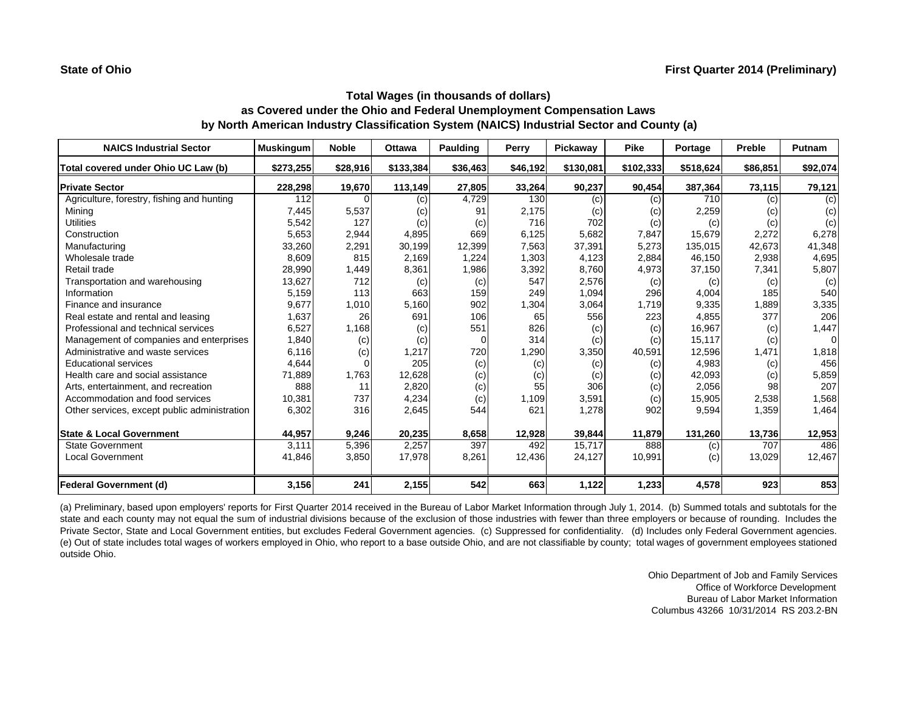| <b>NAICS Industrial Sector</b>               | <b>Muskingum</b> | <b>Noble</b> | <b>Ottawa</b> | Paulding | Perry    | Pickaway  | <b>Pike</b> | Portage   | Preble   | Putnam   |
|----------------------------------------------|------------------|--------------|---------------|----------|----------|-----------|-------------|-----------|----------|----------|
| Total covered under Ohio UC Law (b)          | \$273,255        | \$28,916     | \$133,384     | \$36,463 | \$46,192 | \$130,081 | \$102,333   | \$518,624 | \$86,851 | \$92,074 |
| <b>Private Sector</b>                        | 228,298          | 19,670       | 113,149       | 27,805   | 33,264   | 90,237    | 90,454      | 387,364   | 73,115   | 79,121   |
| Agriculture, forestry, fishing and hunting   | 112              |              | (c)           | 4,729    | 130      | (c)       | (c)         | 710       | (c)      | (c)      |
| Mining                                       | 7,445            | 5,537        | (c)           | 91       | 2,175    | (c)       | (c)         | 2,259     | (c)      | (c)      |
| <b>Utilities</b>                             | 5,542            | 127          | (c)           | (c)      | 716      | 702       | (c)         | (c)       | (c)      | (c)      |
| Construction                                 | 5,653            | 2,944        | 4,895         | 669      | 6,125    | 5,682     | 7,847       | 15,679    | 2,272    | 6,278    |
| Manufacturing                                | 33,260           | 2,291        | 30,199        | 12,399   | 7,563    | 37,391    | 5,273       | 135,015   | 42,673   | 41,348   |
| Wholesale trade                              | 8,609            | 815          | 2,169         | 1,224    | 1,303    | 4,123     | 2,884       | 46,150    | 2,938    | 4,695    |
| Retail trade                                 | 28,990           | 1,449        | 8,361         | 1,986    | 3,392    | 8,760     | 4,973       | 37,150    | 7,341    | 5,807    |
| Transportation and warehousing               | 13,627           | 712          | (c)           | (c)      | 547      | 2,576     | (c)         | (c)       | (c)      | (c)      |
| Information                                  | 5,159            | 113          | 663           | 159      | 249      | 1,094     | 296         | 4,004     | 185      | 540      |
| Finance and insurance                        | 9,677            | 1,010        | 5,160         | 902      | 1,304    | 3,064     | 1.719       | 9,335     | 1,889    | 3,335    |
| Real estate and rental and leasing           | 1,637            | 26           | 691           | 106      | 65       | 556       | 223         | 4,855     | 377      | 206      |
| Professional and technical services          | 6,527            | 1,168        | (c)           | 551      | 826      | (c)       | (c)         | 16,967    | (c)      | 1,447    |
| Management of companies and enterprises      | 1,840            | (c)          | (c)           | $\Omega$ | 314      | (c)       | (c)         | 15,117    | (c)      | $\Omega$ |
| Administrative and waste services            | 6,116            | (c)          | 1,217         | 720      | 1,290    | 3,350     | 40,591      | 12,596    | 1,471    | 1,818    |
| <b>Educational services</b>                  | 4,644            |              | 205           | (c)      | (c)      | (c)       | (c)         | 4,983     | (c)      | 456      |
| Health care and social assistance            | 71,889           | 1,763        | 12,628        | (c)      | (c)      | (c)       | (c)         | 42,093    | (c)      | 5,859    |
| Arts, entertainment, and recreation          | 888              | 11           | 2,820         | (c)      | 55       | 306       | (c)         | 2,056     | 98       | 207      |
| Accommodation and food services              | 10,381           | 737          | 4,234         | (c)      | 1,109    | 3,591     | (c)         | 15,905    | 2,538    | 1,568    |
| Other services, except public administration | 6,302            | 316          | 2,645         | 544      | 621      | 1,278     | 902         | 9,594     | 1,359    | 1,464    |
| <b>State &amp; Local Government</b>          | 44,957           | 9,246        | 20,235        | 8,658    | 12,928   | 39,844    | 11,879      | 131,260   | 13,736   | 12,953   |
| <b>State Government</b>                      | 3.111            | 5,396        | 2,257         | 397      | 492      | 15,717    | 888         | (c)       | 707      | 486      |
| <b>Local Government</b>                      | 41,846           | 3,850        | 17,978        | 8,261    | 12,436   | 24,127    | 10,991      | (c)       | 13,029   | 12,467   |
| <b>Federal Government (d)</b>                | 3,156            | 241          | 2,155         | 542      | 663      | 1,122     | 1,233       | 4,578     | 923      | 853      |

(a) Preliminary, based upon employers' reports for First Quarter 2014 received in the Bureau of Labor Market Information through July 1, 2014. (b) Summed totals and subtotals for the state and each county may not equal the sum of industrial divisions because of the exclusion of those industries with fewer than three employers or because of rounding. Includes the Private Sector, State and Local Government entities, but excludes Federal Government agencies. (c) Suppressed for confidentiality. (d) Includes only Federal Government agencies. (e) Out of state includes total wages of workers employed in Ohio, who report to <sup>a</sup> base outside Ohio, and are not classifiable by county; total wages of government employees stationed outside Ohio.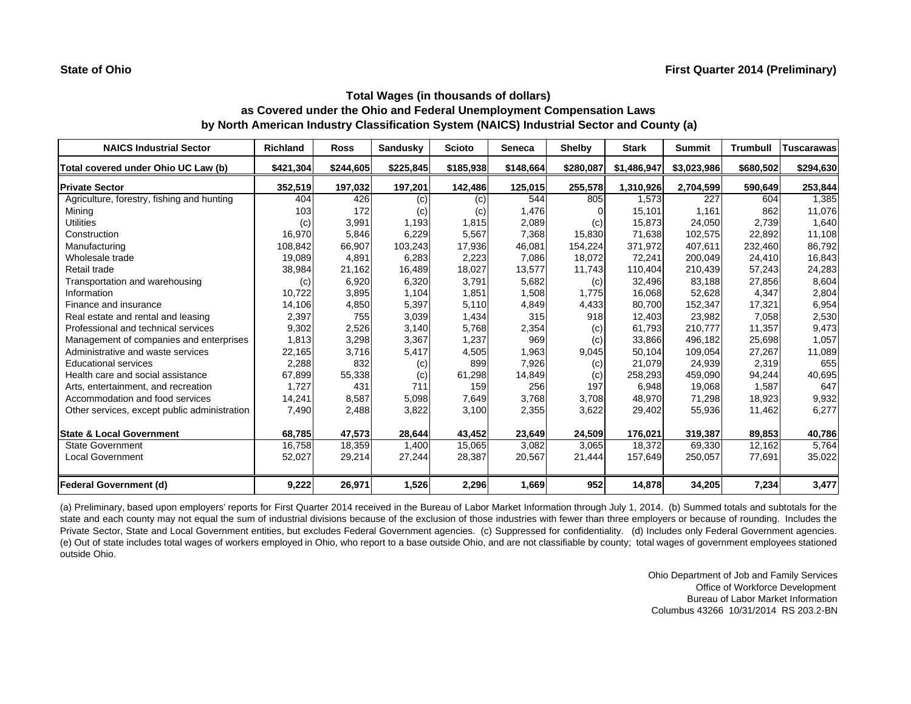| <b>NAICS Industrial Sector</b>               | <b>Richland</b> | <b>Ross</b> | <b>Sandusky</b> | <b>Scioto</b> | <b>Seneca</b> | <b>Shelby</b> | <b>Stark</b> | <b>Summit</b> | <b>Trumbull</b> | <b>Tuscarawas</b> |
|----------------------------------------------|-----------------|-------------|-----------------|---------------|---------------|---------------|--------------|---------------|-----------------|-------------------|
| Total covered under Ohio UC Law (b)          | \$421,304       | \$244,605   | \$225,845       | \$185,938     | \$148,664     | \$280,087     | \$1,486,947  | \$3,023,986   | \$680,502       | \$294,630         |
| <b>Private Sector</b>                        | 352,519         | 197,032     | 197,201         | 142,486       | 125,015       | 255,578       | 1,310,926    | 2,704,599     | 590,649         | 253,844           |
| Agriculture, forestry, fishing and hunting   | 404             | 426         | (c)             | (c)           | 544           | 805           | 1,573        | 227           | 604             | 1,385             |
| Mining                                       | 103             | 172         | (c)             | (c)           | 1,476         |               | 15.101       | 1.161         | 862             | 11,076            |
| <b>Utilities</b>                             | (c)             | 3,991       | 1,193           | 1,815         | 2,089         | (c)           | 15,873       | 24,050        | 2.739           | 1,640             |
| Construction                                 | 16,970          | 5,846       | 6,229           | 5,567         | 7,368         | 15,830        | 71.638       | 102.575       | 22.892          | 11,108            |
| Manufacturing                                | 108,842         | 66,907      | 103,243         | 17,936        | 46,081        | 154,224       | 371,972      | 407.611       | 232,460         | 86,792            |
| Wholesale trade                              | 19,089          | 4,891       | 6,283           | 2,223         | 7,086         | 18,072        | 72,241       | 200,049       | 24,410          | 16,843            |
| Retail trade                                 | 38,984          | 21,162      | 16,489          | 18,027        | 13,577        | 11,743        | 110,404      | 210,439       | 57,243          | 24,283            |
| Transportation and warehousing               | (c)             | 6,920       | 6,320           | 3,791         | 5,682         | (c)           | 32,496       | 83,188        | 27,856          | 8,604             |
| Information                                  | 10,722          | 3,895       | 1,104           | 1.851         | 1,508         | 1.775         | 16,068       | 52,628        | 4.347           | 2,804             |
| Finance and insurance                        | 14,106          | 4,850       | 5,397           | 5,110         | 4,849         | 4,433         | 80,700       | 152,347       | 17,321          | 6,954             |
| Real estate and rental and leasing           | 2,397           | 755         | 3,039           | 1,434         | 315           | 918           | 12,403       | 23,982        | 7,058           | 2,530             |
| Professional and technical services          | 9,302           | 2,526       | 3,140           | 5,768         | 2,354         | (c)           | 61,793       | 210,777       | 11,357          | 9,473             |
| Management of companies and enterprises      | 1,813           | 3,298       | 3,367           | 1,237         | 969           | (c)           | 33,866       | 496,182       | 25,698          | 1,057             |
| Administrative and waste services            | 22,165          | 3,716       | 5,417           | 4,505         | 1,963         | 9,045         | 50,104       | 109,054       | 27,267          | 11,089            |
| <b>Educational services</b>                  | 2,288           | 832         | (c)             | 899           | 7,926         | (c)           | 21,079       | 24,939        | 2,319           | 655               |
| Health care and social assistance            | 67,899          | 55,338      | (c)             | 61,298        | 14,849        | (c)           | 258,293      | 459,090       | 94,244          | 40,695            |
| Arts, entertainment, and recreation          | 1,727           | 431         | 711             | 159           | 256           | 197           | 6,948        | 19,068        | 1,587           | 647               |
| Accommodation and food services              | 14,241          | 8,587       | 5,098           | 7,649         | 3,768         | 3,708         | 48,970       | 71,298        | 18,923          | 9,932             |
| Other services, except public administration | 7,490           | 2,488       | 3,822           | 3,100         | 2,355         | 3,622         | 29,402       | 55,936        | 11,462          | 6,277             |
| <b>State &amp; Local Government</b>          | 68,785          | 47,573      | 28,644          | 43,452        | 23,649        | 24,509        | 176,021      | 319,387       | 89,853          | 40,786            |
| <b>State Government</b>                      | 16,758          | 18,359      | 1,400           | 15,065        | 3,082         | 3,065         | 18.372       | 69,330        | 12,162          | 5,764             |
| <b>Local Government</b>                      | 52,027          | 29,214      | 27,244          | 28,387        | 20,567        | 21,444        | 157,649      | 250,057       | 77,691          | 35,022            |
| <b>Federal Government (d)</b>                | 9,222           | 26,971      | 1,526           | 2,296         | 1,669         | 952           | 14,878       | 34,205        | 7,234           | 3,477             |

(a) Preliminary, based upon employers' reports for First Quarter 2014 received in the Bureau of Labor Market Information through July 1, 2014. (b) Summed totals and subtotals for the state and each county may not equal the sum of industrial divisions because of the exclusion of those industries with fewer than three employers or because of rounding. Includes the Private Sector, State and Local Government entities, but excludes Federal Government agencies. (c) Suppressed for confidentiality. (d) Includes only Federal Government agencies. (e) Out of state includes total wages of workers employed in Ohio, who report to <sup>a</sup> base outside Ohio, and are not classifiable by county; total wages of government employees stationed outside Ohio.